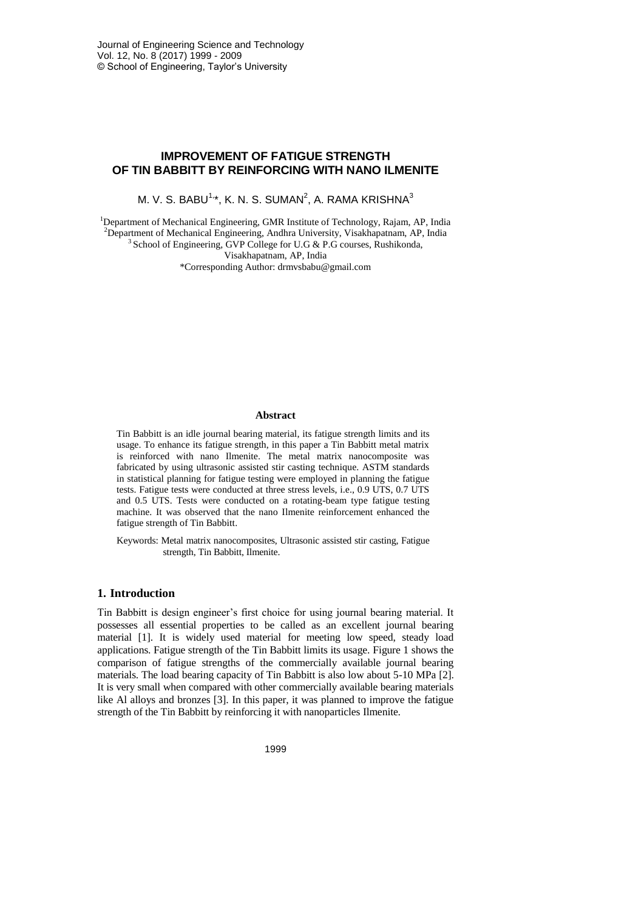# **IMPROVEMENT OF FATIGUE STRENGTH OF TIN BABBITT BY REINFORCING WITH NANO ILMENITE**

M. V. S. BABU $^{1,\star}$ , K. N. S. SUMAN $^{2}$ , A. RAMA KRISHNA $^{3}$ 

<sup>1</sup>Department of Mechanical Engineering, GMR Institute of Technology, Rajam, AP, India <sup>2</sup>Department of Mechanical Engineering, Andhra University, Visakhapatnam, AP, India  $3$  School of Engineering, GVP College for U.G & P.G courses, Rushikonda,

Visakhapatnam, AP, India

\*Corresponding Author: drmvsbabu@gmail.com

### **Abstract**

Tin Babbitt is an idle journal bearing material, its fatigue strength limits and its usage. To enhance its fatigue strength, in this paper a Tin Babbitt metal matrix is reinforced with nano Ilmenite. The metal matrix nanocomposite was fabricated by using ultrasonic assisted stir casting technique. ASTM standards in statistical planning for fatigue testing were employed in planning the fatigue tests. Fatigue tests were conducted at three stress levels, i.e., 0.9 UTS, 0.7 UTS and 0.5 UTS. Tests were conducted on a rotating-beam type fatigue testing machine. It was observed that the nano Ilmenite reinforcement enhanced the fatigue strength of Tin Babbitt.

Keywords: Metal matrix nanocomposites, Ultrasonic assisted stir casting, Fatigue strength, Tin Babbitt, Ilmenite.

#### **1. Introduction**

Tin Babbitt is design engineer's first choice for using journal bearing material. It possesses all essential properties to be called as an excellent journal bearing material [1]. It is widely used material for meeting low speed, steady load applications. Fatigue strength of the Tin Babbitt limits its usage. Figure 1 shows the comparison of fatigue strengths of the commercially available journal bearing materials. The load bearing capacity of Tin Babbitt is also low about 5-10 MPa [2]. It is very small when compared with other commercially available bearing materials like Al alloys and bronzes [3]. In this paper, it was planned to improve the fatigue strength of the Tin Babbitt by reinforcing it with nanoparticles Ilmenite.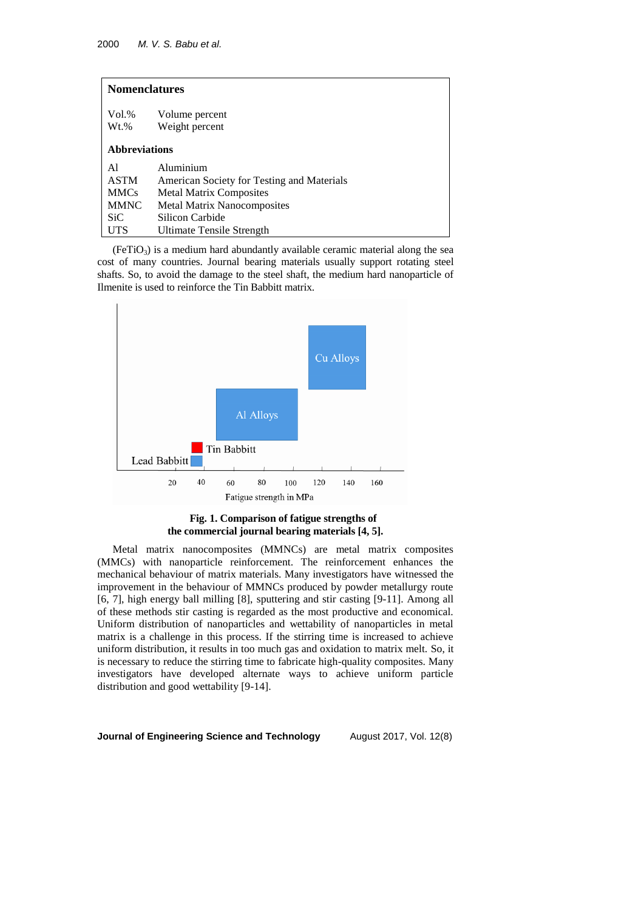| <b>Nomenclatures</b> |                                            |
|----------------------|--------------------------------------------|
| $Vol. \%$<br>$Wt.$ % | Volume percent<br>Weight percent           |
| <b>Abbreviations</b> |                                            |
| A1                   | Aluminium                                  |
| <b>ASTM</b>          | American Society for Testing and Materials |
| <b>MMCs</b>          | <b>Metal Matrix Composites</b>             |
| <b>MMNC</b>          | <b>Metal Matrix Nanocomposites</b>         |
| SiC.                 | Silicon Carbide                            |
| UTS                  | Ultimate Tensile Strength                  |

 $(FeTiO<sub>3</sub>)$  is a medium hard abundantly available ceramic material along the sea cost of many countries. Journal bearing materials usually support rotating steel shafts. So, to avoid the damage to the steel shaft, the medium hard nanoparticle of Ilmenite is used to reinforce the Tin Babbitt matrix.



## **Fig. 1. Comparison of fatigue strengths of the commercial journal bearing materials [4, 5].**

Metal matrix nanocomposites (MMNCs) are metal matrix composites (MMCs) with nanoparticle reinforcement. The reinforcement enhances the mechanical behaviour of matrix materials. Many investigators have witnessed the improvement in the behaviour of MMNCs produced by powder metallurgy route [6, 7], high energy ball milling [8], sputtering and stir casting [9-11]. Among all of these methods stir casting is regarded as the most productive and economical. Uniform distribution of nanoparticles and wettability of nanoparticles in metal matrix is a challenge in this process. If the stirring time is increased to achieve uniform distribution, it results in too much gas and oxidation to matrix melt. So, it is necessary to reduce the stirring time to fabricate high-quality composites. Many investigators have developed alternate ways to achieve uniform particle distribution and good wettability [9-14].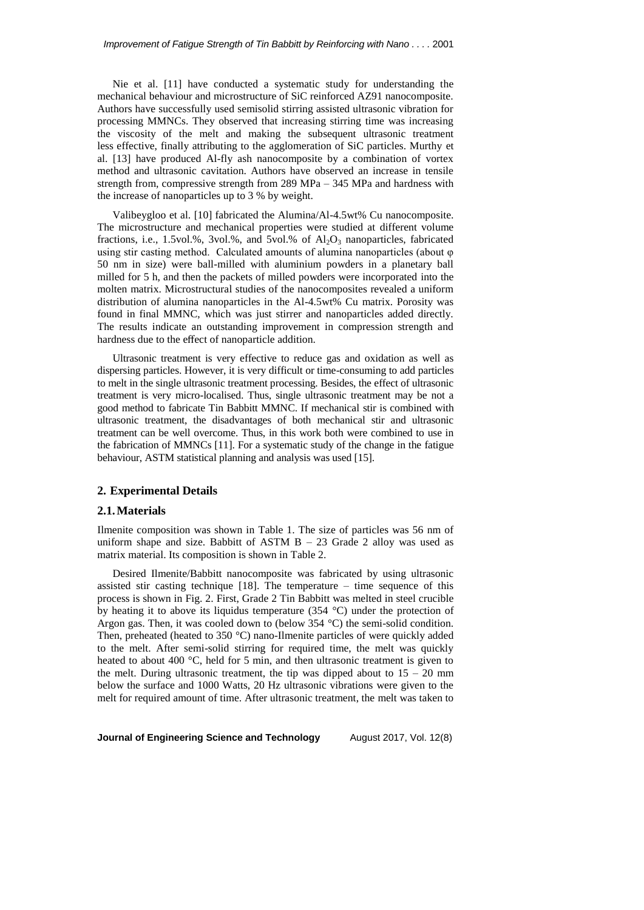Nie et al. [11] have conducted a systematic study for understanding the mechanical behaviour and microstructure of SiC reinforced AZ91 nanocomposite. Authors have successfully used semisolid stirring assisted ultrasonic vibration for processing MMNCs. They observed that increasing stirring time was increasing the viscosity of the melt and making the subsequent ultrasonic treatment less effective, finally attributing to the agglomeration of SiC particles. Murthy et al. [13] have produced Al-fly ash nanocomposite by a combination of vortex method and ultrasonic cavitation. Authors have observed an increase in tensile strength from, compressive strength from 289 MPa – 345 MPa and hardness with the increase of nanoparticles up to 3 % by weight.

Valibeygloo et al. [10] fabricated the Alumina/Al-4.5wt% Cu nanocomposite. The microstructure and mechanical properties were studied at different volume fractions, i.e., 1.5vol.%, 3vol.%, and 5vol.% of  $Al_2O_3$  nanoparticles, fabricated using stir casting method. Calculated amounts of alumina nanoparticles (about φ 50 nm in size) were ball-milled with aluminium powders in a planetary ball milled for 5 h, and then the packets of milled powders were incorporated into the molten matrix. Microstructural studies of the nanocomposites revealed a uniform distribution of alumina nanoparticles in the Al-4.5wt% Cu matrix. Porosity was found in final MMNC, which was just stirrer and nanoparticles added directly. The results indicate an outstanding improvement in compression strength and hardness due to the effect of nanoparticle addition.

Ultrasonic treatment is very effective to reduce gas and oxidation as well as dispersing particles. However, it is very difficult or time-consuming to add particles to melt in the single ultrasonic treatment processing. Besides, the effect of ultrasonic treatment is very micro-localised. Thus, single ultrasonic treatment may be not a good method to fabricate Tin Babbitt MMNC. If mechanical stir is combined with ultrasonic treatment, the disadvantages of both mechanical stir and ultrasonic treatment can be well overcome. Thus, in this work both were combined to use in the fabrication of MMNCs [11]. For a systematic study of the change in the fatigue behaviour, ASTM statistical planning and analysis was used [15].

### **2. Experimental Details**

#### **2.1.Materials**

Ilmenite composition was shown in Table 1. The size of particles was 56 nm of uniform shape and size. Babbitt of ASTM  $B - 23$  Grade 2 alloy was used as matrix material. Its composition is shown in Table 2.

Desired Ilmenite/Babbitt nanocomposite was fabricated by using ultrasonic assisted stir casting technique  $[18]$ . The temperature – time sequence of this process is shown in Fig. 2. First, Grade 2 Tin Babbitt was melted in steel crucible by heating it to above its liquidus temperature (354 °C) under the protection of Argon gas. Then, it was cooled down to (below 354 °C) the semi-solid condition. Then, preheated (heated to 350 °C) nano-Ilmenite particles of were quickly added to the melt. After semi-solid stirring for required time, the melt was quickly heated to about 400 °C, held for 5 min, and then ultrasonic treatment is given to the melt. During ultrasonic treatment, the tip was dipped about to  $15 - 20$  mm below the surface and 1000 Watts, 20 Hz ultrasonic vibrations were given to the melt for required amount of time. After ultrasonic treatment, the melt was taken to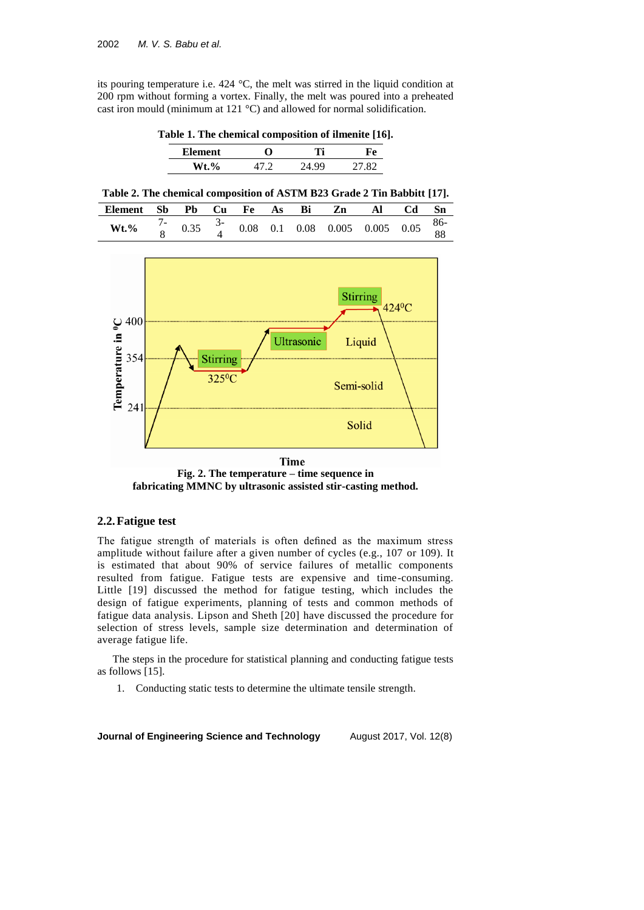its pouring temperature i.e. 424 °C, the melt was stirred in the liquid condition at 200 rpm without forming a vortex. Finally, the melt was poured into a preheated cast iron mould (minimum at 121 °C) and allowed for normal solidification.

**Table 1. The chemical composition of ilmenite [16].**

| Element                     |  |        |
|-----------------------------|--|--------|
| $\frac{6}{9}$<br><b>M/f</b> |  | 27. QQ |

**Table 2. The chemical composition of ASTM B23 Grade 2 Tin Babbitt [17].**

| Element | Sb |  |  |  | Pb Cu Fe As Bi Zn Al Cd                                                                                     | -Sn |
|---------|----|--|--|--|-------------------------------------------------------------------------------------------------------------|-----|
| $Wt.\%$ |    |  |  |  | $0.35 \quad \frac{3}{4}$ $0.08 \quad 0.1 \quad 0.08 \quad 0.005 \quad 0.005 \quad 0.05 \quad \frac{86}{88}$ |     |
|         |    |  |  |  |                                                                                                             |     |



**Time Fig. 2. The temperature – time sequence in fabricating MMNC by ultrasonic assisted stir-casting method.**

## **2.2.Fatigue test**

The fatigue strength of materials is often defined as the maximum stress amplitude without failure after a given number of cycles (e.g., 107 or 109). It is estimated that about 90% of service failures of metallic components resulted from fatigue. Fatigue tests are expensive and time-consuming. Little [19] discussed the method for fatigue testing, which includes the design of fatigue experiments, planning of tests and common methods of fatigue data analysis. Lipson and Sheth [20] have discussed the procedure for selection of stress levels, sample size determination and determination of average fatigue life.

The steps in the procedure for statistical planning and conducting fatigue tests as follows [15].

1. Conducting static tests to determine the ultimate tensile strength.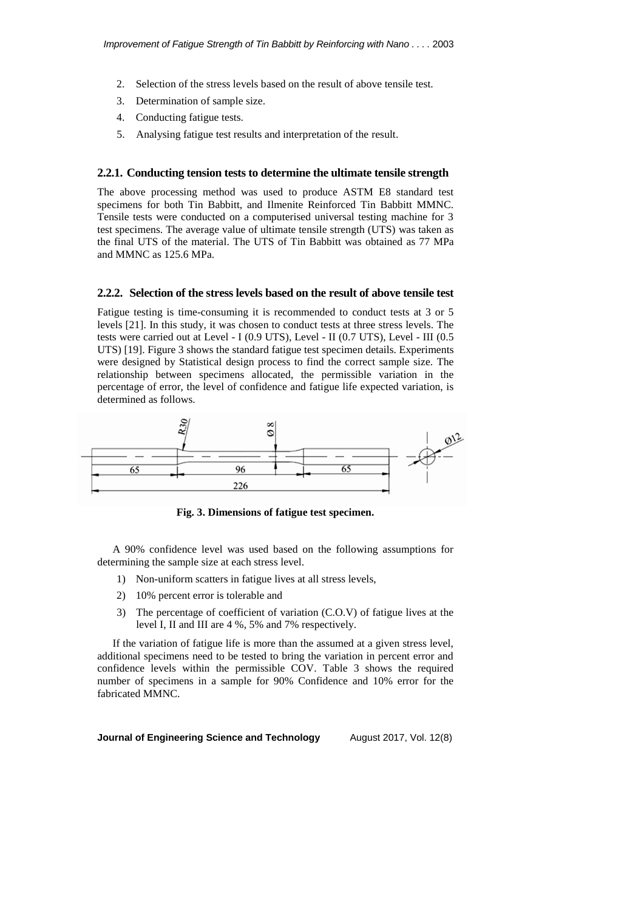- 2. Selection of the stress levels based on the result of above tensile test.
- 3. Determination of sample size.
- 4. Conducting fatigue tests.
- 5. Analysing fatigue test results and interpretation of the result.

## **2.2.1. Conducting tension tests to determine the ultimate tensile strength**

The above processing method was used to produce ASTM E8 standard test specimens for both Tin Babbitt, and Ilmenite Reinforced Tin Babbitt MMNC. Tensile tests were conducted on a computerised universal testing machine for 3 test specimens. The average value of ultimate tensile strength (UTS) was taken as the final UTS of the material. The UTS of Tin Babbitt was obtained as 77 MPa and MMNC as 125.6 MPa.

#### **2.2.2. Selection of the stress levels based on the result of above tensile test**

Fatigue testing is time-consuming it is recommended to conduct tests at 3 or 5 levels [21]. In this study, it was chosen to conduct tests at three stress levels. The tests were carried out at Level - I (0.9 UTS), Level - II (0.7 UTS), Level - III (0.5 UTS) [19]. Figure 3 shows the standard fatigue test specimen details. Experiments were designed by Statistical design process to find the correct sample size. The relationship between specimens allocated, the permissible variation in the percentage of error, the level of confidence and fatigue life expected variation, is determined as follows.



**Fig. 3. Dimensions of fatigue test specimen.**

A 90% confidence level was used based on the following assumptions for determining the sample size at each stress level.

- 1) Non-uniform scatters in fatigue lives at all stress levels,
- 2) 10% percent error is tolerable and
- 3) The percentage of coefficient of variation (C.O.V) of fatigue lives at the level I, II and III are 4 %, 5% and 7% respectively.

If the variation of fatigue life is more than the assumed at a given stress level, additional specimens need to be tested to bring the variation in percent error and confidence levels within the permissible COV. Table 3 shows the required number of specimens in a sample for 90% Confidence and 10% error for the fabricated MMNC.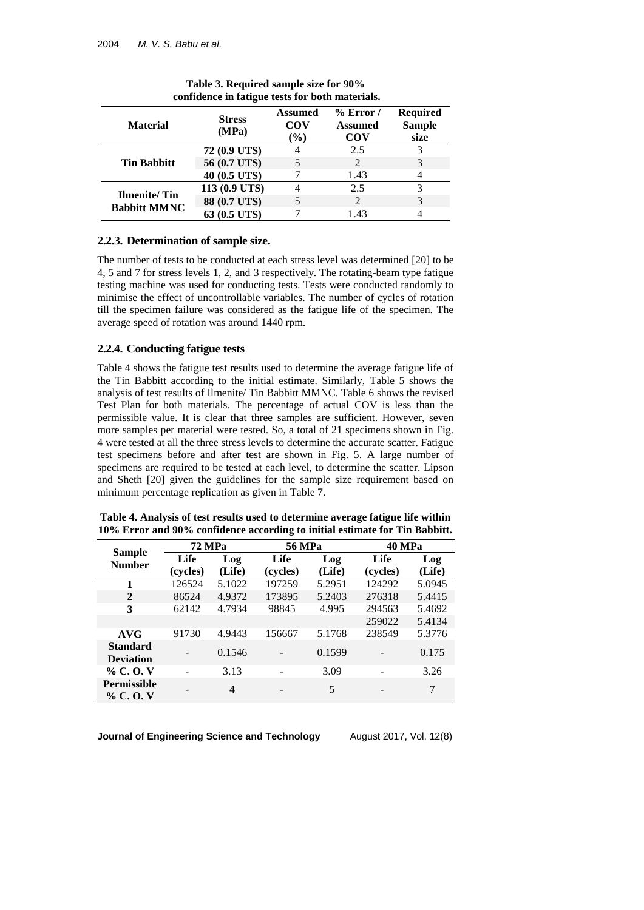| <b>Material</b>                     | <b>Stress</b><br>(MPa) | <b>Assumed</b><br><b>COV</b><br>$(\%)$ | $%$ Error /<br><b>Assumed</b><br>COV | <b>Required</b><br><b>Sample</b><br>size |
|-------------------------------------|------------------------|----------------------------------------|--------------------------------------|------------------------------------------|
|                                     | 72 (0.9 UTS)           | 4                                      | 2.5                                  | 3                                        |
| <b>Tin Babbitt</b>                  | 56 (0.7 UTS)           |                                        |                                      | 3                                        |
|                                     | 40 (0.5 UTS)           |                                        | 1.43                                 |                                          |
|                                     | 113 (0.9 UTS)          |                                        | 2.5                                  | 3                                        |
| Ilmenite/Tin<br><b>Babbitt MMNC</b> | 88 (0.7 UTS)           |                                        |                                      |                                          |
|                                     | 63 (0.5 UTS)           |                                        | 1.43                                 |                                          |

**Table 3. Required sample size for 90% confidence in fatigue tests for both materials.**

# **2.2.3. Determination of sample size.**

The number of tests to be conducted at each stress level was determined [20] to be 4, 5 and 7 for stress levels 1, 2, and 3 respectively. The rotating-beam type fatigue testing machine was used for conducting tests. Tests were conducted randomly to minimise the effect of uncontrollable variables. The number of cycles of rotation till the specimen failure was considered as the fatigue life of the specimen. The average speed of rotation was around 1440 rpm.

## **2.2.4. Conducting fatigue tests**

Table 4 shows the fatigue test results used to determine the average fatigue life of the Tin Babbitt according to the initial estimate. Similarly, Table 5 shows the analysis of test results of Ilmenite/ Tin Babbitt MMNC. Table 6 shows the revised Test Plan for both materials. The percentage of actual COV is less than the permissible value. It is clear that three samples are sufficient. However, seven more samples per material were tested. So, a total of 21 specimens shown in [Fig.](#page-7-0) [4](#page-7-0) were tested at all the three stress levels to determine the accurate scatter. Fatigue test specimens before and after test are shown in [Fig.](#page-7-1) 5. A large number of specimens are required to be tested at each level, to determine the scatter. Lipson and Sheth [20] given the guidelines for the sample size requirement based on minimum percentage replication as given in Table 7.

|                                     | <b>72 MPa</b> |        | <b>56 MPa</b> |        | <b>40 MPa</b> |        |
|-------------------------------------|---------------|--------|---------------|--------|---------------|--------|
| <b>Sample</b><br><b>Number</b>      | Life          | Log    | Life          | Log    | Life          | Log    |
|                                     | (cycles)      | (Life) | (cycles)      | (Life) | (cycles)      | (Life) |
| 1                                   | 126524        | 5.1022 | 197259        | 5.2951 | 124292        | 5.0945 |
| $\mathbf{2}$                        | 86524         | 4.9372 | 173895        | 5.2403 | 276318        | 5.4415 |
| 3                                   | 62142         | 4.7934 | 98845         | 4.995  | 294563        | 5.4692 |
|                                     |               |        |               |        | 259022        | 5.4134 |
| AVG                                 | 91730         | 4.9443 | 156667        | 5.1768 | 238549        | 5.3776 |
| <b>Standard</b><br><b>Deviation</b> |               | 0.1546 |               | 0.1599 |               | 0.175  |
| $\%$ C.O.V                          |               | 3.13   |               | 3.09   |               | 3.26   |
| <b>Permissible</b><br>% C.O.V       |               | 4      |               | 5      |               | 7      |

**Table 4. Analysis of test results used to determine average fatigue life within 10% Error and 90% confidence according to initial estimate for Tin Babbitt.**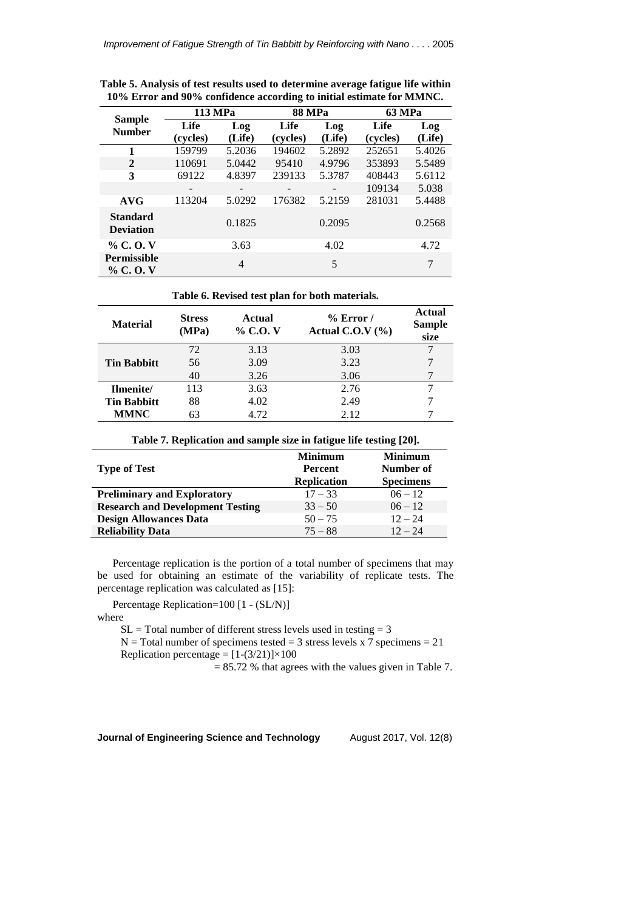|                                     | 113 MPa  |                          | <b>88 MPa</b>            |        | <b>63 MPa</b> |        |
|-------------------------------------|----------|--------------------------|--------------------------|--------|---------------|--------|
| <b>Sample</b><br><b>Number</b>      | Life     | Log                      | Life                     | Log    | Life          | Log    |
|                                     | (cycles) | (Life)                   | (cycles)                 | (Life) | (cycles)      | (Life) |
| 1                                   | 159799   | 5.2036                   | 194602                   | 5.2892 | 252651        | 5.4026 |
| $\mathbf{2}$                        | 110691   | 5.0442                   | 95410                    | 4.9796 | 353893        | 5.5489 |
| 3                                   | 69122    | 4.8397                   | 239133                   | 5.3787 | 408443        | 5.6112 |
|                                     |          | $\overline{\phantom{a}}$ | $\overline{\phantom{0}}$ |        | 109134        | 5.038  |
| AVG                                 | 113204   | 5.0292                   | 176382                   | 5.2159 | 281031        | 5.4488 |
| <b>Standard</b><br><b>Deviation</b> |          | 0.1825                   |                          | 0.2095 |               | 0.2568 |
| $\%$ C.O.V                          |          | 3.63                     |                          | 4.02   |               | 4.72   |
| <b>Permissible</b><br>$\%$ C.O.V    |          | 4                        |                          | 5      |               | 7      |

**Table 5. Analysis of test results used to determine average fatigue life within 10% Error and 90% confidence according to initial estimate for MMNC.** 

**Table 6. Revised test plan for both materials.**

| <b>Material</b>    | <b>Stress</b><br>(MPa) | <b>Actual</b><br>% C.O. V | $%$ Error /<br>Actual C.O.V $(\% )$ | Actual<br><b>Sample</b><br>size |
|--------------------|------------------------|---------------------------|-------------------------------------|---------------------------------|
|                    | 72                     | 3.13                      | 3.03                                |                                 |
| <b>Tin Babbitt</b> | 56                     | 3.09                      | 3.23                                |                                 |
|                    | 40                     | 3.26                      | 3.06                                |                                 |
| Ilmenite/          | 113                    | 3.63                      | 2.76                                |                                 |
| <b>Tin Babbitt</b> | 88                     | 4.02                      | 2.49                                |                                 |
| <b>MMNC</b>        | 63                     | 4.72                      | 2.12                                |                                 |

| Table 7. Replication and sample size in fatigue life testing [20]. |                               |                               |  |  |  |  |
|--------------------------------------------------------------------|-------------------------------|-------------------------------|--|--|--|--|
|                                                                    | <b>Minimum</b>                | <b>Minimum</b>                |  |  |  |  |
| <b>Type of Test</b>                                                | Percent<br><b>Replication</b> | Number of<br><b>Specimens</b> |  |  |  |  |
| <b>Preliminary and Exploratory</b>                                 | $17 - 33$                     | $06 - 12$                     |  |  |  |  |
| <b>Research and Development Testing</b>                            | $33 - 50$                     | $06 - 12$                     |  |  |  |  |
| <b>Design Allowances Data</b>                                      | $50 - 75$                     | $12 - 24$                     |  |  |  |  |
| <b>Reliability Data</b>                                            | $75 - 88$                     | $12 - 24$                     |  |  |  |  |

Percentage replication is the portion of a total number of specimens that may be used for obtaining an estimate of the variability of replicate tests. The percentage replication was calculated as [15]:

Percentage Replication=100 [1 - (SL/N)]

where

 $SL = Total$  number of different stress levels used in testing  $= 3$ 

 $N = Total number of specimens tested = 3 stress levels x 7 specimens = 21$ Replication percentage =  $[1-(3/21)]\times100$ 

 $= 85.72$  % that agrees with the values given in Table 7.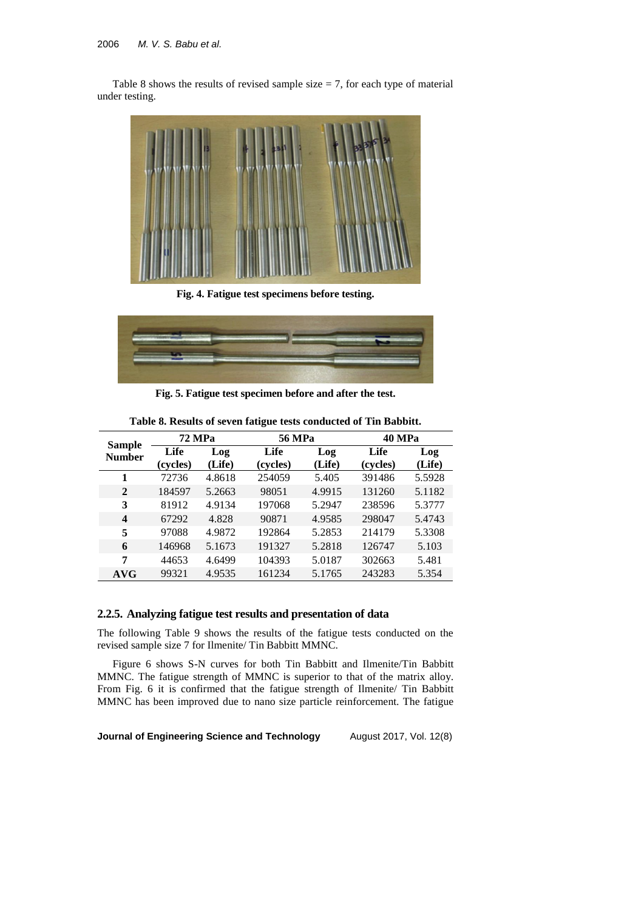Table 8 shows the results of revised sample size  $= 7$ , for each type of material under testing.



**Fig. 4. Fatigue test specimens before testing.**

<span id="page-7-0"></span>

**Fig. 5. Fatigue test specimen before and after the test.**

<span id="page-7-1"></span>

| <b>Sample</b>           | 72 MPa           |               | <b>56 MPa</b>    |               | <b>40 MPa</b>    |               |  |
|-------------------------|------------------|---------------|------------------|---------------|------------------|---------------|--|
| <b>Number</b>           | Life<br>(cycles) | Log<br>(Life) | Life<br>(cycles) | Log<br>(Life) | Life<br>(cycles) | Log<br>(Life) |  |
| 1                       | 72736            | 4.8618        | 254059           | 5.405         | 391486           | 5.5928        |  |
| 2                       | 184597           | 5.2663        | 98051            | 4.9915        | 131260           | 5.1182        |  |
| 3                       | 81912            | 4.9134        | 197068           | 5.2947        | 238596           | 5.3777        |  |
| $\overline{\mathbf{4}}$ | 67292            | 4.828         | 90871            | 4.9585        | 298047           | 5.4743        |  |
| 5                       | 97088            | 4.9872        | 192864           | 5.2853        | 214179           | 5.3308        |  |
| 6                       | 146968           | 5.1673        | 191327           | 5.2818        | 126747           | 5.103         |  |
| 7                       | 44653            | 4.6499        | 104393           | 5.0187        | 302663           | 5.481         |  |
| AVG                     | 99321            | 4.9535        | 161234           | 5.1765        | 243283           | 5.354         |  |

**Table 8. Results of seven fatigue tests conducted of Tin Babbitt.**

# **2.2.5. Analyzing fatigue test results and presentation of data**

The following Table 9 shows the results of the fatigue tests conducted on the revised sample size 7 for Ilmenite/ Tin Babbitt MMNC.

Figure 6 shows S-N curves for both Tin Babbitt and Ilmenite/Tin Babbitt MMNC. The fatigue strength of MMNC is superior to that of the matrix alloy. From Fig. 6 it is confirmed that the fatigue strength of Ilmenite/ Tin Babbitt MMNC has been improved due to nano size particle reinforcement. The fatigue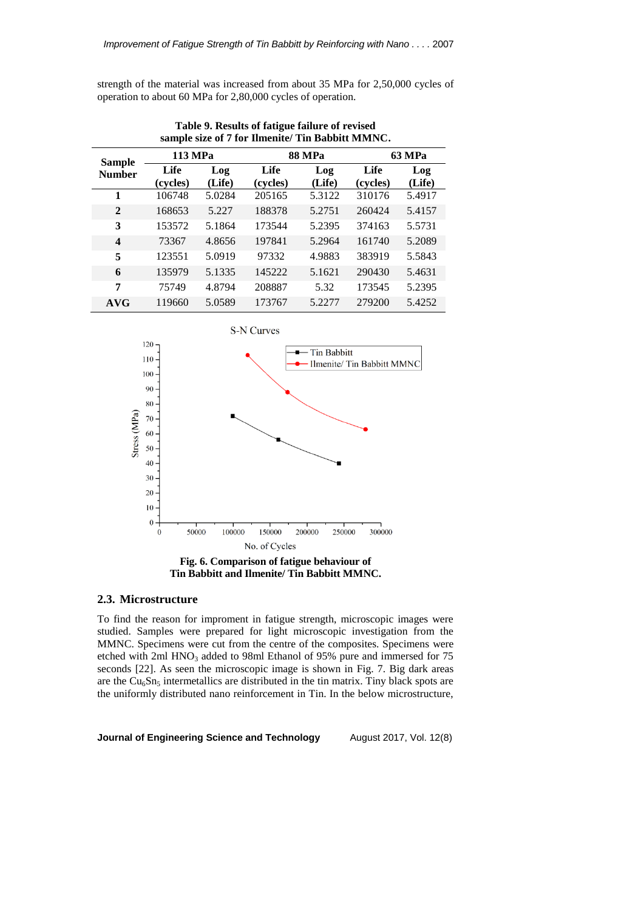strength of the material was increased from about 35 MPa for 2,50,000 cycles of operation to about 60 MPa for 2,80,000 cycles of operation.

| $\sum_{i=1}^{n}$        |          |        |          |               |          |               |  |  |
|-------------------------|----------|--------|----------|---------------|----------|---------------|--|--|
| <b>Sample</b>           | 113 MPa  |        |          | <b>88 MPa</b> |          | <b>63 MPa</b> |  |  |
| <b>Number</b>           | Life     | Log    | Life     | Log           | Life     | Log           |  |  |
|                         | (cycles) | (Life) | (cycles) | (Life)        | (cycles) | (Life)        |  |  |
| 1                       | 106748   | 5.0284 | 205165   | 5.3122        | 310176   | 5.4917        |  |  |
| $\mathbf{2}$            | 168653   | 5.227  | 188378   | 5.2751        | 260424   | 5.4157        |  |  |
| 3                       | 153572   | 5.1864 | 173544   | 5.2395        | 374163   | 5.5731        |  |  |
| $\overline{\mathbf{4}}$ | 73367    | 4.8656 | 197841   | 5.2964        | 161740   | 5.2089        |  |  |
| 5                       | 123551   | 5.0919 | 97332    | 4.9883        | 383919   | 5.5843        |  |  |
| 6                       | 135979   | 5.1335 | 145222   | 5.1621        | 290430   | 5.4631        |  |  |
| 7                       | 75749    | 4.8794 | 208887   | 5.32          | 173545   | 5.2395        |  |  |
| <b>AVG</b>              | 119660   | 5.0589 | 173767   | 5.2277        | 279200   | 5.4252        |  |  |

**Table 9. Results of fatigue failure of revised sample size of 7 for Ilmenite/ Tin Babbitt MMNC.**



#### **2.3. Microstructure**

To find the reason for improment in fatigue strength, microscopic images were studied. Samples were prepared for light microscopic investigation from the MMNC. Specimens were cut from the centre of the composites. Specimens were etched with 2ml HNO<sub>3</sub> added to 98ml Ethanol of 95% pure and immersed for 75 seconds [22]. As seen the microscopic image is shown in Fig. 7. Big dark areas are the  $Cu<sub>6</sub>Sn<sub>5</sub>$  intermetallics are distributed in the tin matrix. Tiny black spots are the uniformly distributed nano reinforcement in Tin. In the below microstructure,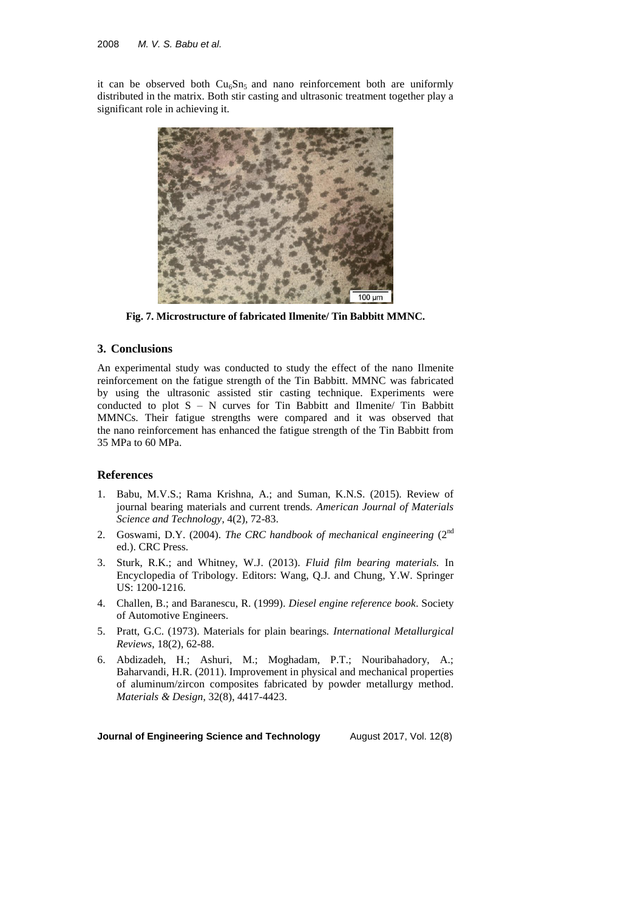it can be observed both  $Cu<sub>6</sub>Sn<sub>5</sub>$  and nano reinforcement both are uniformly distributed in the matrix. Both stir casting and ultrasonic treatment together play a significant role in achieving it.



**Fig. 7. Microstructure of fabricated Ilmenite/ Tin Babbitt MMNC.**

# **3. Conclusions**

An experimental study was conducted to study the effect of the nano Ilmenite reinforcement on the fatigue strength of the Tin Babbitt. MMNC was fabricated by using the ultrasonic assisted stir casting technique. Experiments were conducted to plot S – N curves for Tin Babbitt and Ilmenite/ Tin Babbitt MMNCs. Their fatigue strengths were compared and it was observed that the nano reinforcement has enhanced the fatigue strength of the Tin Babbitt from 35 MPa to 60 MPa.

## **References**

- 1. Babu, M.V.S.; Rama Krishna, A.; and Suman, K.N.S. (2015). Review of journal bearing materials and current trends*. American Journal of Materials Science and Technology*, 4(2), 72-83.
- 2. Goswami, D.Y. (2004). *The CRC handbook of mechanical engineering* (2<sup>nd</sup>) ed.). CRC Press.
- 3. Sturk, R.K.; and Whitney, W.J. (2013). *Fluid film bearing materials.* In Encyclopedia of Tribology. Editors: Wang, Q.J. and Chung, Y.W. Springer US: 1200-1216.
- 4. Challen, B.; and Baranescu, R. (1999). *Diesel engine reference book*. Society of Automotive Engineers.
- 5. Pratt, G.C. (1973). Materials for plain bearings*. International Metallurgical Reviews*, 18(2), 62-88.
- 6. Abdizadeh, H.; Ashuri, M.; Moghadam, P.T.; Nouribahadory, A.; Baharvandi, H.R. (2011). Improvement in physical and mechanical properties of aluminum/zircon composites fabricated by powder metallurgy method*. Materials & Design*, 32(8), 4417-4423.